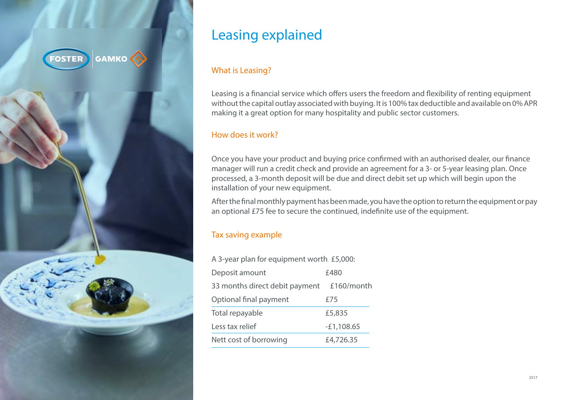

# Leasing explained

## What is Leasing?

Leasing is a financial service which offers users the freedom and flexibility of renting equipment without the capital outlay associated with buying. It is 100% tax deductible and available on 0% APR making it a great option for many hospitality and public sector customers.

# How does it work?

Once you have your product and buying price confirmed with an authorised dealer, our finance manager will run a credit check and provide an agreement for a 3- or 5-year leasing plan. Once processed, a 3-month deposit will be due and direct debit set up which will begin upon the installation of your new equipment.

After the final monthly payment has been made, you have the option to return the equipment or pay an optional £75 fee to secure the continued, indefinite use of the equipment.

# Tax saving example

| A 3-year plan for equipment worth £5,000: |              |
|-------------------------------------------|--------------|
| Deposit amount                            | £480         |
| 33 months direct debit payment            | £160/month   |
| Optional final payment                    | £75          |
| Total repayable                           | £5,835       |
| Less tax relief                           | $-E1,108.65$ |
| Nett cost of borrowing                    | £4,726.35    |